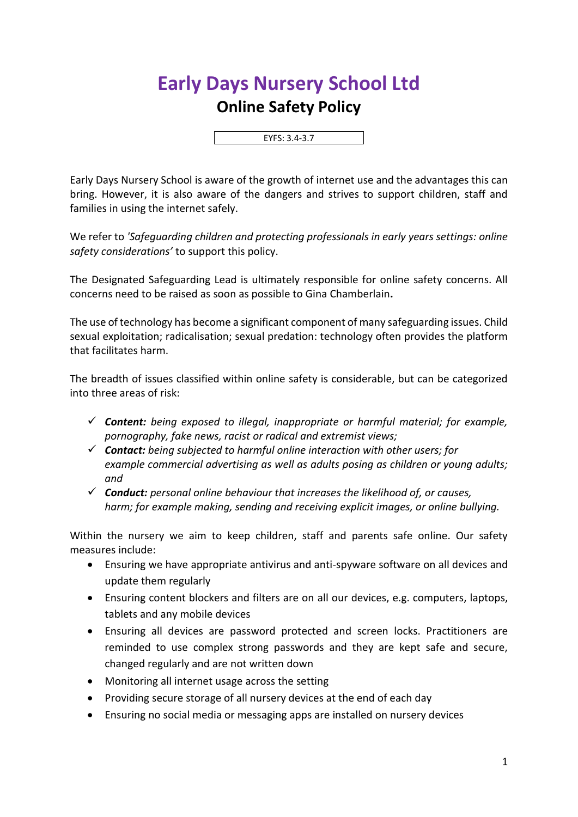## **Early Days Nursery School Ltd Online Safety Policy**

EYFS: 3.4-3.7

Early Days Nursery School is aware of the growth of internet use and the advantages this can bring. However, it is also aware of the dangers and strives to support children, staff and families in using the internet safely.

We refer to *'Safeguarding children and protecting professionals in early years settings: online safety considerations'* to support this policy.

The Designated Safeguarding Lead is ultimately responsible for online safety concerns. All concerns need to be raised as soon as possible to Gina Chamberlain**.**

The use of technology has become a significant component of many safeguarding issues. Child sexual exploitation; radicalisation; sexual predation: technology often provides the platform that facilitates harm.

The breadth of issues classified within online safety is considerable, but can be categorized into three areas of risk:

- ✓ *Content: being exposed to illegal, inappropriate or harmful material; for example, pornography, fake news, racist or radical and extremist views;*
- ✓ *Contact: being subjected to harmful online interaction with other users; for example commercial advertising as well as adults posing as children or young adults; and*
- ✓ *Conduct: personal online behaviour that increases the likelihood of, or causes, harm; for example making, sending and receiving explicit images, or online bullying.*

Within the nursery we aim to keep children, staff and parents safe online. Our safety measures include:

- Ensuring we have appropriate antivirus and anti-spyware software on all devices and update them regularly
- Ensuring content blockers and filters are on all our devices, e.g. computers, laptops, tablets and any mobile devices
- Ensuring all devices are password protected and screen locks. Practitioners are reminded to use complex strong passwords and they are kept safe and secure, changed regularly and are not written down
- Monitoring all internet usage across the setting
- Providing secure storage of all nursery devices at the end of each day
- Ensuring no social media or messaging apps are installed on nursery devices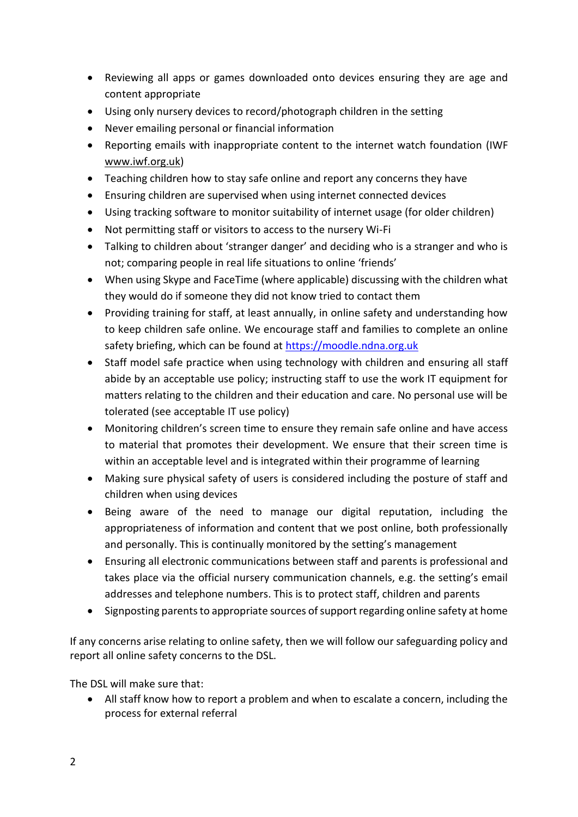- Reviewing all apps or games downloaded onto devices ensuring they are age and content appropriate
- Using only nursery devices to record/photograph children in the setting
- Never emailing personal or financial information
- Reporting emails with inappropriate content to the internet watch foundation (IWF www.iwf.org.uk)
- Teaching children how to stay safe online and report any concerns they have
- Ensuring children are supervised when using internet connected devices
- Using tracking software to monitor suitability of internet usage (for older children)
- Not permitting staff or visitors to access to the nursery Wi-Fi
- Talking to children about 'stranger danger' and deciding who is a stranger and who is not; comparing people in real life situations to online 'friends'
- When using Skype and FaceTime (where applicable) discussing with the children what they would do if someone they did not know tried to contact them
- Providing training for staff, at least annually, in online safety and understanding how to keep children safe online. We encourage staff and families to complete an online safety briefing, which can be found at [https://moodle.ndna.org.uk](https://moodle.ndna.org.uk/course/index.php?categoryid=27)
- Staff model safe practice when using technology with children and ensuring all staff abide by an acceptable use policy; instructing staff to use the work IT equipment for matters relating to the children and their education and care. No personal use will be tolerated (see acceptable IT use policy)
- Monitoring children's screen time to ensure they remain safe online and have access to material that promotes their development. We ensure that their screen time is within an acceptable level and is integrated within their programme of learning
- Making sure physical safety of users is considered including the posture of staff and children when using devices
- Being aware of the need to manage our digital reputation, including the appropriateness of information and content that we post online, both professionally and personally. This is continually monitored by the setting's management
- Ensuring all electronic communications between staff and parents is professional and takes place via the official nursery communication channels, e.g. the setting's email addresses and telephone numbers. This is to protect staff, children and parents
- Signposting parents to appropriate sources of support regarding online safety at home

If any concerns arise relating to online safety, then we will follow our safeguarding policy and report all online safety concerns to the DSL.

The DSL will make sure that:

• All staff know how to report a problem and when to escalate a concern, including the process for external referral